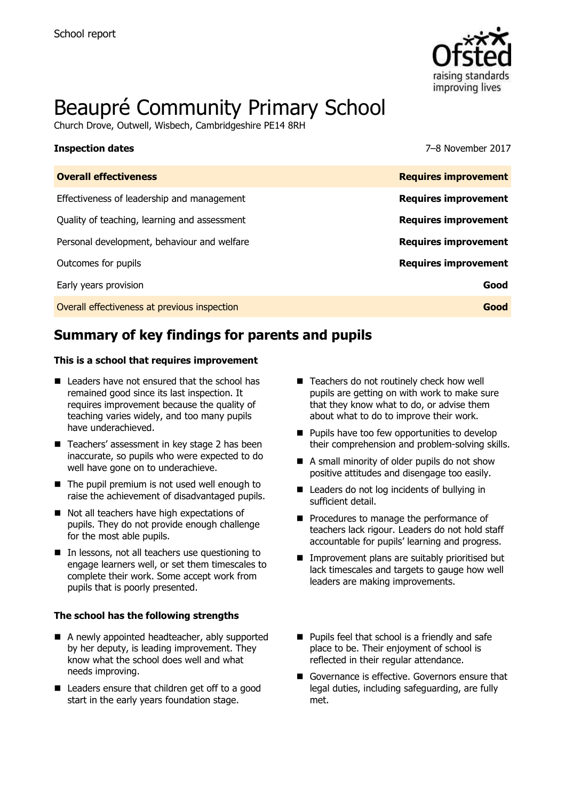

# Beaupré Community Primary School

Church Drove, Outwell, Wisbech, Cambridgeshire PE14 8RH

| <b>Inspection dates</b>                      | 7-8 November 2017           |
|----------------------------------------------|-----------------------------|
| <b>Overall effectiveness</b>                 | <b>Requires improvement</b> |
| Effectiveness of leadership and management   | <b>Requires improvement</b> |
| Quality of teaching, learning and assessment | <b>Requires improvement</b> |
| Personal development, behaviour and welfare  | <b>Requires improvement</b> |

Outcomes for pupils **Requires improvement** Early years provision **Good**

Overall effectiveness at previous inspection **Good**

# **Summary of key findings for parents and pupils**

#### **This is a school that requires improvement**

- Leaders have not ensured that the school has remained good since its last inspection. It requires improvement because the quality of teaching varies widely, and too many pupils have underachieved.
- Teachers' assessment in key stage 2 has been inaccurate, so pupils who were expected to do well have gone on to underachieve.
- The pupil premium is not used well enough to raise the achievement of disadvantaged pupils.
- Not all teachers have high expectations of pupils. They do not provide enough challenge for the most able pupils.
- In lessons, not all teachers use questioning to engage learners well, or set them timescales to complete their work. Some accept work from pupils that is poorly presented.

#### **The school has the following strengths**

- A newly appointed headteacher, ably supported by her deputy, is leading improvement. They know what the school does well and what needs improving.
- Leaders ensure that children get off to a good start in the early years foundation stage.
- Teachers do not routinely check how well pupils are getting on with work to make sure that they know what to do, or advise them about what to do to improve their work.
- $\blacksquare$  Pupils have too few opportunities to develop their comprehension and problem-solving skills.
- A small minority of older pupils do not show positive attitudes and disengage too easily.
- Leaders do not log incidents of bullying in sufficient detail.
- Procedures to manage the performance of teachers lack rigour. Leaders do not hold staff accountable for pupils' learning and progress.
- **Improvement plans are suitably prioritised but** lack timescales and targets to gauge how well leaders are making improvements.
- **Pupils feel that school is a friendly and safe** place to be. Their enjoyment of school is reflected in their regular attendance.
- Governance is effective. Governors ensure that legal duties, including safeguarding, are fully met.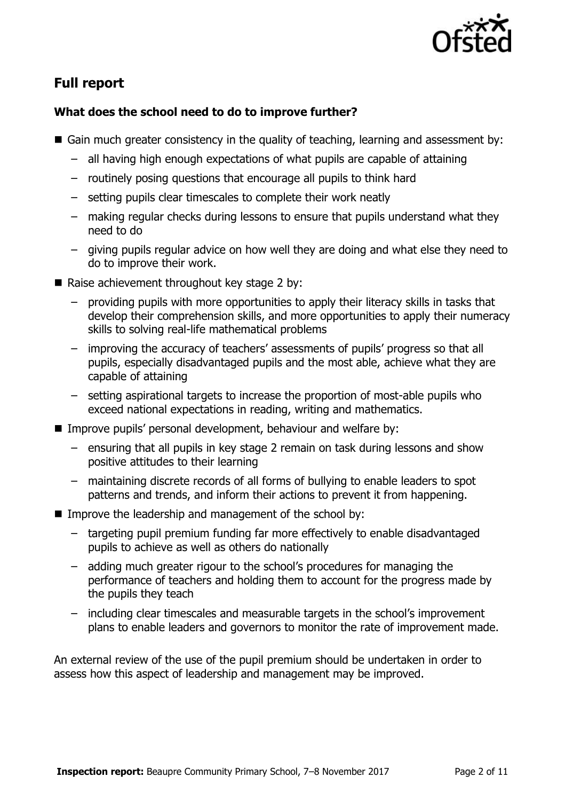

# **Full report**

### **What does the school need to do to improve further?**

- Gain much greater consistency in the quality of teaching, learning and assessment by:
	- all having high enough expectations of what pupils are capable of attaining
	- routinely posing questions that encourage all pupils to think hard
	- setting pupils clear timescales to complete their work neatly
	- making regular checks during lessons to ensure that pupils understand what they need to do
	- giving pupils regular advice on how well they are doing and what else they need to do to improve their work.
- Raise achievement throughout key stage 2 by:
	- providing pupils with more opportunities to apply their literacy skills in tasks that develop their comprehension skills, and more opportunities to apply their numeracy skills to solving real-life mathematical problems
	- improving the accuracy of teachers' assessments of pupils' progress so that all pupils, especially disadvantaged pupils and the most able, achieve what they are capable of attaining
	- setting aspirational targets to increase the proportion of most-able pupils who exceed national expectations in reading, writing and mathematics.
- Improve pupils' personal development, behaviour and welfare by:
	- ensuring that all pupils in key stage 2 remain on task during lessons and show positive attitudes to their learning
	- maintaining discrete records of all forms of bullying to enable leaders to spot patterns and trends, and inform their actions to prevent it from happening.
- Improve the leadership and management of the school by:
	- targeting pupil premium funding far more effectively to enable disadvantaged pupils to achieve as well as others do nationally
	- adding much greater rigour to the school's procedures for managing the performance of teachers and holding them to account for the progress made by the pupils they teach
	- including clear timescales and measurable targets in the school's improvement plans to enable leaders and governors to monitor the rate of improvement made.

An external review of the use of the pupil premium should be undertaken in order to assess how this aspect of leadership and management may be improved.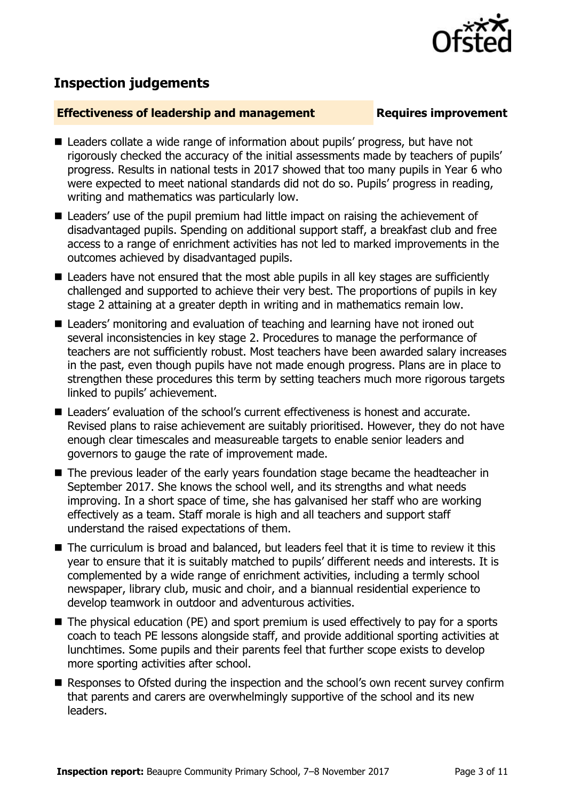

## **Inspection judgements**

### **Effectiveness of leadership and management Requires improvement**

- Leaders collate a wide range of information about pupils' progress, but have not rigorously checked the accuracy of the initial assessments made by teachers of pupils' progress. Results in national tests in 2017 showed that too many pupils in Year 6 who were expected to meet national standards did not do so. Pupils' progress in reading, writing and mathematics was particularly low.
- Leaders' use of the pupil premium had little impact on raising the achievement of disadvantaged pupils. Spending on additional support staff, a breakfast club and free access to a range of enrichment activities has not led to marked improvements in the outcomes achieved by disadvantaged pupils.
- Leaders have not ensured that the most able pupils in all key stages are sufficiently challenged and supported to achieve their very best. The proportions of pupils in key stage 2 attaining at a greater depth in writing and in mathematics remain low.
- Leaders' monitoring and evaluation of teaching and learning have not ironed out several inconsistencies in key stage 2. Procedures to manage the performance of teachers are not sufficiently robust. Most teachers have been awarded salary increases in the past, even though pupils have not made enough progress. Plans are in place to strengthen these procedures this term by setting teachers much more rigorous targets linked to pupils' achievement.
- Leaders' evaluation of the school's current effectiveness is honest and accurate. Revised plans to raise achievement are suitably prioritised. However, they do not have enough clear timescales and measureable targets to enable senior leaders and governors to gauge the rate of improvement made.
- The previous leader of the early years foundation stage became the headteacher in September 2017. She knows the school well, and its strengths and what needs improving. In a short space of time, she has galvanised her staff who are working effectively as a team. Staff morale is high and all teachers and support staff understand the raised expectations of them.
- The curriculum is broad and balanced, but leaders feel that it is time to review it this year to ensure that it is suitably matched to pupils' different needs and interests. It is complemented by a wide range of enrichment activities, including a termly school newspaper, library club, music and choir, and a biannual residential experience to develop teamwork in outdoor and adventurous activities.
- $\blacksquare$  The physical education (PE) and sport premium is used effectively to pay for a sports coach to teach PE lessons alongside staff, and provide additional sporting activities at lunchtimes. Some pupils and their parents feel that further scope exists to develop more sporting activities after school.
- Responses to Ofsted during the inspection and the school's own recent survey confirm that parents and carers are overwhelmingly supportive of the school and its new leaders.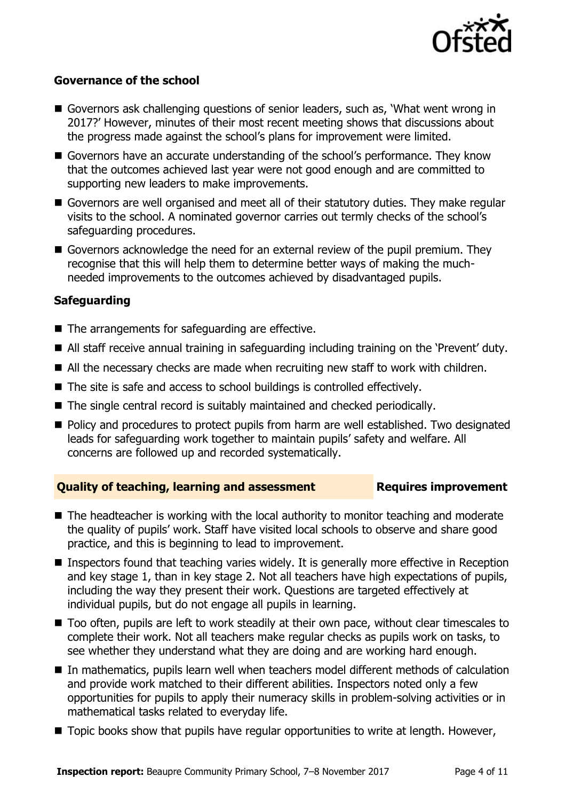

#### **Governance of the school**

- Governors ask challenging questions of senior leaders, such as, 'What went wrong in 2017?' However, minutes of their most recent meeting shows that discussions about the progress made against the school's plans for improvement were limited.
- Governors have an accurate understanding of the school's performance. They know that the outcomes achieved last year were not good enough and are committed to supporting new leaders to make improvements.
- Governors are well organised and meet all of their statutory duties. They make regular visits to the school. A nominated governor carries out termly checks of the school's safeguarding procedures.
- Governors acknowledge the need for an external review of the pupil premium. They recognise that this will help them to determine better ways of making the muchneeded improvements to the outcomes achieved by disadvantaged pupils.

### **Safeguarding**

- $\blacksquare$  The arrangements for safeguarding are effective.
- All staff receive annual training in safeguarding including training on the 'Prevent' duty.
- All the necessary checks are made when recruiting new staff to work with children.
- The site is safe and access to school buildings is controlled effectively.
- The single central record is suitably maintained and checked periodically.
- **Policy and procedures to protect pupils from harm are well established. Two designated** leads for safeguarding work together to maintain pupils' safety and welfare. All concerns are followed up and recorded systematically.

#### **Quality of teaching, learning and assessment France Requires improvement**

- The headteacher is working with the local authority to monitor teaching and moderate the quality of pupils' work. Staff have visited local schools to observe and share good practice, and this is beginning to lead to improvement.
- **Inspectors found that teaching varies widely. It is generally more effective in Reception** and key stage 1, than in key stage 2. Not all teachers have high expectations of pupils, including the way they present their work. Questions are targeted effectively at individual pupils, but do not engage all pupils in learning.
- Too often, pupils are left to work steadily at their own pace, without clear timescales to complete their work. Not all teachers make regular checks as pupils work on tasks, to see whether they understand what they are doing and are working hard enough.
- In mathematics, pupils learn well when teachers model different methods of calculation and provide work matched to their different abilities. Inspectors noted only a few opportunities for pupils to apply their numeracy skills in problem-solving activities or in mathematical tasks related to everyday life.
- Topic books show that pupils have regular opportunities to write at length. However,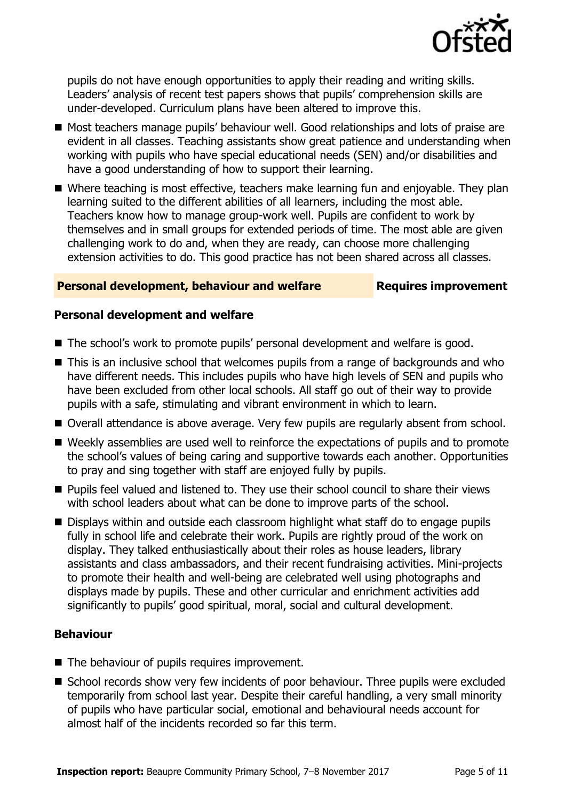

pupils do not have enough opportunities to apply their reading and writing skills. Leaders' analysis of recent test papers shows that pupils' comprehension skills are under-developed. Curriculum plans have been altered to improve this.

- Most teachers manage pupils' behaviour well. Good relationships and lots of praise are evident in all classes. Teaching assistants show great patience and understanding when working with pupils who have special educational needs (SEN) and/or disabilities and have a good understanding of how to support their learning.
- Where teaching is most effective, teachers make learning fun and enjoyable. They plan learning suited to the different abilities of all learners, including the most able. Teachers know how to manage group-work well. Pupils are confident to work by themselves and in small groups for extended periods of time. The most able are given challenging work to do and, when they are ready, can choose more challenging extension activities to do. This good practice has not been shared across all classes.

#### **Personal development, behaviour and welfare Fig. 2.1 Requires improvement**

#### **Personal development and welfare**

- The school's work to promote pupils' personal development and welfare is good.
- This is an inclusive school that welcomes pupils from a range of backgrounds and who have different needs. This includes pupils who have high levels of SEN and pupils who have been excluded from other local schools. All staff go out of their way to provide pupils with a safe, stimulating and vibrant environment in which to learn.
- Overall attendance is above average. Very few pupils are regularly absent from school.
- Weekly assemblies are used well to reinforce the expectations of pupils and to promote the school's values of being caring and supportive towards each another. Opportunities to pray and sing together with staff are enjoyed fully by pupils.
- **Pupils feel valued and listened to. They use their school council to share their views** with school leaders about what can be done to improve parts of the school.
- Displays within and outside each classroom highlight what staff do to engage pupils fully in school life and celebrate their work. Pupils are rightly proud of the work on display. They talked enthusiastically about their roles as house leaders, library assistants and class ambassadors, and their recent fundraising activities. Mini-projects to promote their health and well-being are celebrated well using photographs and displays made by pupils. These and other curricular and enrichment activities add significantly to pupils' good spiritual, moral, social and cultural development.

#### **Behaviour**

- The behaviour of pupils requires improvement.
- School records show very few incidents of poor behaviour. Three pupils were excluded temporarily from school last year. Despite their careful handling, a very small minority of pupils who have particular social, emotional and behavioural needs account for almost half of the incidents recorded so far this term.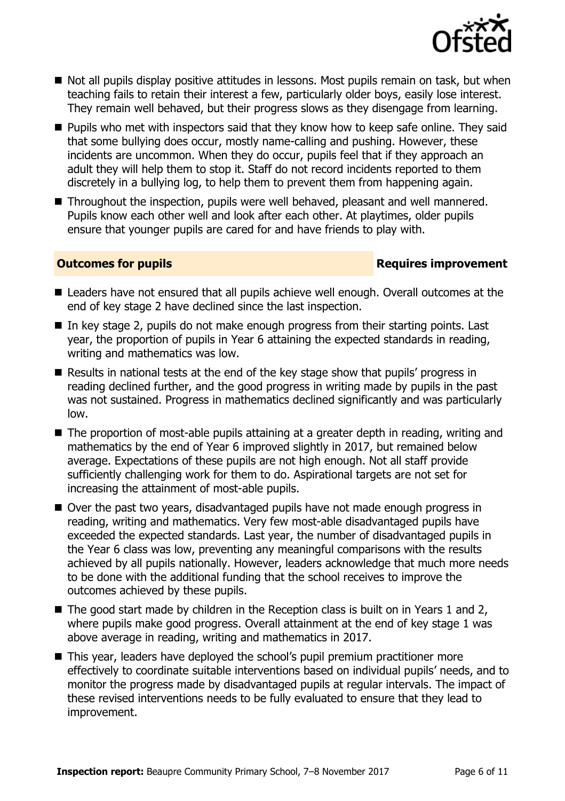

- Not all pupils display positive attitudes in lessons. Most pupils remain on task, but when teaching fails to retain their interest a few, particularly older boys, easily lose interest. They remain well behaved, but their progress slows as they disengage from learning.
- **Pupils who met with inspectors said that they know how to keep safe online. They said** that some bullying does occur, mostly name-calling and pushing. However, these incidents are uncommon. When they do occur, pupils feel that if they approach an adult they will help them to stop it. Staff do not record incidents reported to them discretely in a bullying log, to help them to prevent them from happening again.
- Throughout the inspection, pupils were well behaved, pleasant and well mannered. Pupils know each other well and look after each other. At playtimes, older pupils ensure that younger pupils are cared for and have friends to play with.

### **Outcomes for pupils Requires improvement**

- Leaders have not ensured that all pupils achieve well enough. Overall outcomes at the end of key stage 2 have declined since the last inspection.
- In key stage 2, pupils do not make enough progress from their starting points. Last year, the proportion of pupils in Year 6 attaining the expected standards in reading, writing and mathematics was low.
- Results in national tests at the end of the key stage show that pupils' progress in reading declined further, and the good progress in writing made by pupils in the past was not sustained. Progress in mathematics declined significantly and was particularly low.
- The proportion of most-able pupils attaining at a greater depth in reading, writing and mathematics by the end of Year 6 improved slightly in 2017, but remained below average. Expectations of these pupils are not high enough. Not all staff provide sufficiently challenging work for them to do. Aspirational targets are not set for increasing the attainment of most-able pupils.
- Over the past two years, disadvantaged pupils have not made enough progress in reading, writing and mathematics. Very few most-able disadvantaged pupils have exceeded the expected standards. Last year, the number of disadvantaged pupils in the Year 6 class was low, preventing any meaningful comparisons with the results achieved by all pupils nationally. However, leaders acknowledge that much more needs to be done with the additional funding that the school receives to improve the outcomes achieved by these pupils.
- The good start made by children in the Reception class is built on in Years 1 and 2, where pupils make good progress. Overall attainment at the end of key stage 1 was above average in reading, writing and mathematics in 2017.
- This year, leaders have deployed the school's pupil premium practitioner more effectively to coordinate suitable interventions based on individual pupils' needs, and to monitor the progress made by disadvantaged pupils at regular intervals. The impact of these revised interventions needs to be fully evaluated to ensure that they lead to improvement.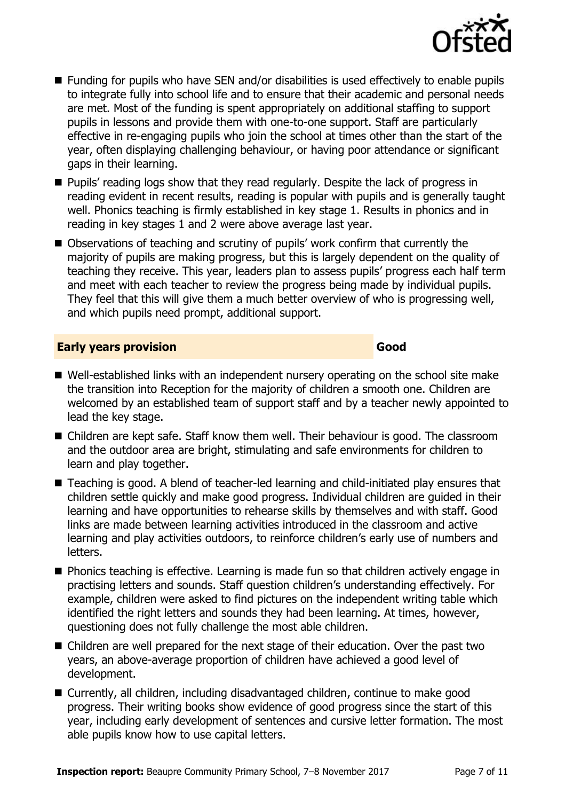

- Funding for pupils who have SEN and/or disabilities is used effectively to enable pupils to integrate fully into school life and to ensure that their academic and personal needs are met. Most of the funding is spent appropriately on additional staffing to support pupils in lessons and provide them with one-to-one support. Staff are particularly effective in re-engaging pupils who join the school at times other than the start of the year, often displaying challenging behaviour, or having poor attendance or significant gaps in their learning.
- **Pupils'** reading logs show that they read regularly. Despite the lack of progress in reading evident in recent results, reading is popular with pupils and is generally taught well. Phonics teaching is firmly established in key stage 1. Results in phonics and in reading in key stages 1 and 2 were above average last year.
- Observations of teaching and scrutiny of pupils' work confirm that currently the majority of pupils are making progress, but this is largely dependent on the quality of teaching they receive. This year, leaders plan to assess pupils' progress each half term and meet with each teacher to review the progress being made by individual pupils. They feel that this will give them a much better overview of who is progressing well, and which pupils need prompt, additional support.

### **Early years provision Good Good**

- Well-established links with an independent nursery operating on the school site make the transition into Reception for the majority of children a smooth one. Children are welcomed by an established team of support staff and by a teacher newly appointed to lead the key stage.
- Children are kept safe. Staff know them well. Their behaviour is good. The classroom and the outdoor area are bright, stimulating and safe environments for children to learn and play together.
- Teaching is good. A blend of teacher-led learning and child-initiated play ensures that children settle quickly and make good progress. Individual children are guided in their learning and have opportunities to rehearse skills by themselves and with staff. Good links are made between learning activities introduced in the classroom and active learning and play activities outdoors, to reinforce children's early use of numbers and letters.
- Phonics teaching is effective. Learning is made fun so that children actively engage in practising letters and sounds. Staff question children's understanding effectively. For example, children were asked to find pictures on the independent writing table which identified the right letters and sounds they had been learning. At times, however, questioning does not fully challenge the most able children.
- Children are well prepared for the next stage of their education. Over the past two years, an above-average proportion of children have achieved a good level of development.
- Currently, all children, including disadvantaged children, continue to make good progress. Their writing books show evidence of good progress since the start of this year, including early development of sentences and cursive letter formation. The most able pupils know how to use capital letters.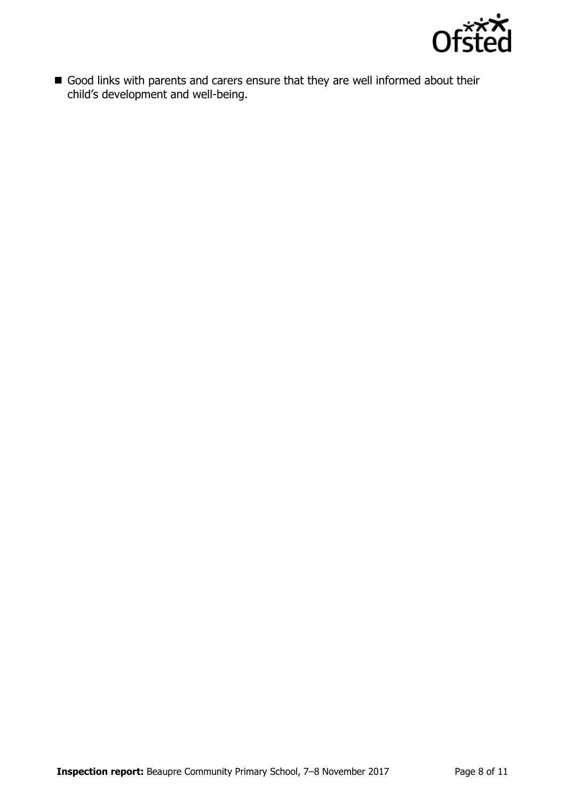

Good links with parents and carers ensure that they are well informed about their child's development and well-being.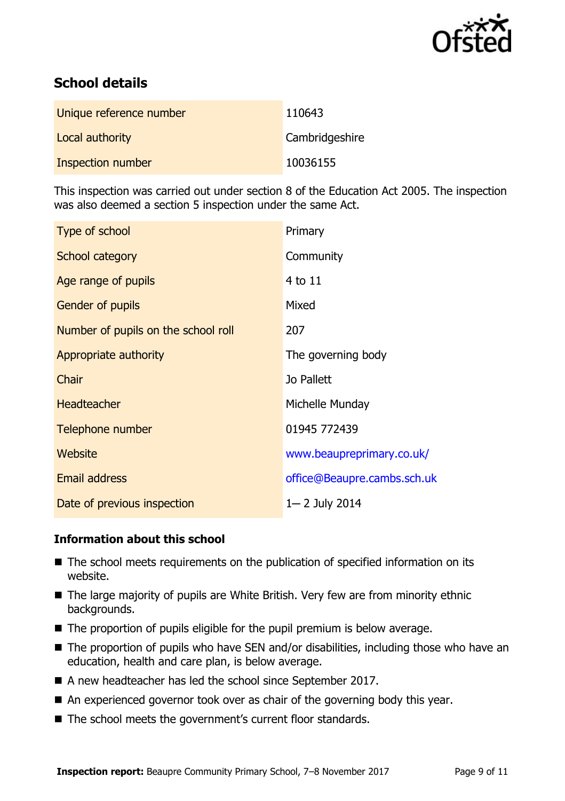

# **School details**

| Unique reference number | 110643         |
|-------------------------|----------------|
| Local authority         | Cambridgeshire |
| Inspection number       | 10036155       |

This inspection was carried out under section 8 of the Education Act 2005. The inspection was also deemed a section 5 inspection under the same Act.

| Type of school                      | Primary                     |
|-------------------------------------|-----------------------------|
| School category                     | Community                   |
| Age range of pupils                 | 4 to 11                     |
| <b>Gender of pupils</b>             | Mixed                       |
| Number of pupils on the school roll | 207                         |
| Appropriate authority               | The governing body          |
| Chair                               | Jo Pallett                  |
| <b>Headteacher</b>                  | Michelle Munday             |
| Telephone number                    | 01945 772439                |
| Website                             | www.beaupreprimary.co.uk/   |
| Email address                       | office@Beaupre.cambs.sch.uk |
| Date of previous inspection         | 1-2 July 2014               |

### **Information about this school**

- The school meets requirements on the publication of specified information on its website.
- The large majority of pupils are White British. Very few are from minority ethnic backgrounds.
- The proportion of pupils eligible for the pupil premium is below average.
- The proportion of pupils who have SEN and/or disabilities, including those who have an education, health and care plan, is below average.
- A new headteacher has led the school since September 2017.
- An experienced governor took over as chair of the governing body this year.
- The school meets the government's current floor standards.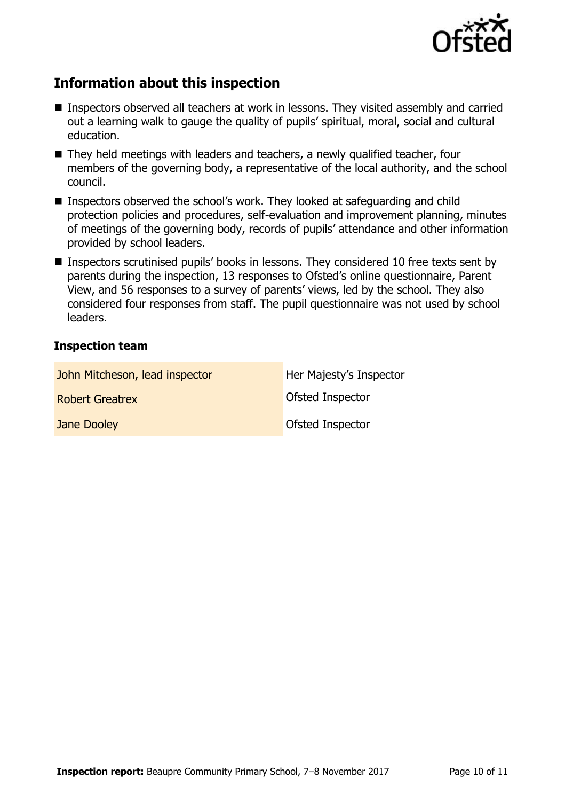

# **Information about this inspection**

- Inspectors observed all teachers at work in lessons. They visited assembly and carried out a learning walk to gauge the quality of pupils' spiritual, moral, social and cultural education.
- They held meetings with leaders and teachers, a newly qualified teacher, four members of the governing body, a representative of the local authority, and the school council.
- Inspectors observed the school's work. They looked at safeguarding and child protection policies and procedures, self-evaluation and improvement planning, minutes of meetings of the governing body, records of pupils' attendance and other information provided by school leaders.
- Inspectors scrutinised pupils' books in lessons. They considered 10 free texts sent by parents during the inspection, 13 responses to Ofsted's online questionnaire, Parent View, and 56 responses to a survey of parents' views, led by the school. They also considered four responses from staff. The pupil questionnaire was not used by school leaders.

### **Inspection team**

| John Mitcheson, lead inspector | Her Majesty's Inspector |
|--------------------------------|-------------------------|
| <b>Robert Greatrex</b>         | <b>Ofsted Inspector</b> |
| Jane Dooley                    | <b>Ofsted Inspector</b> |